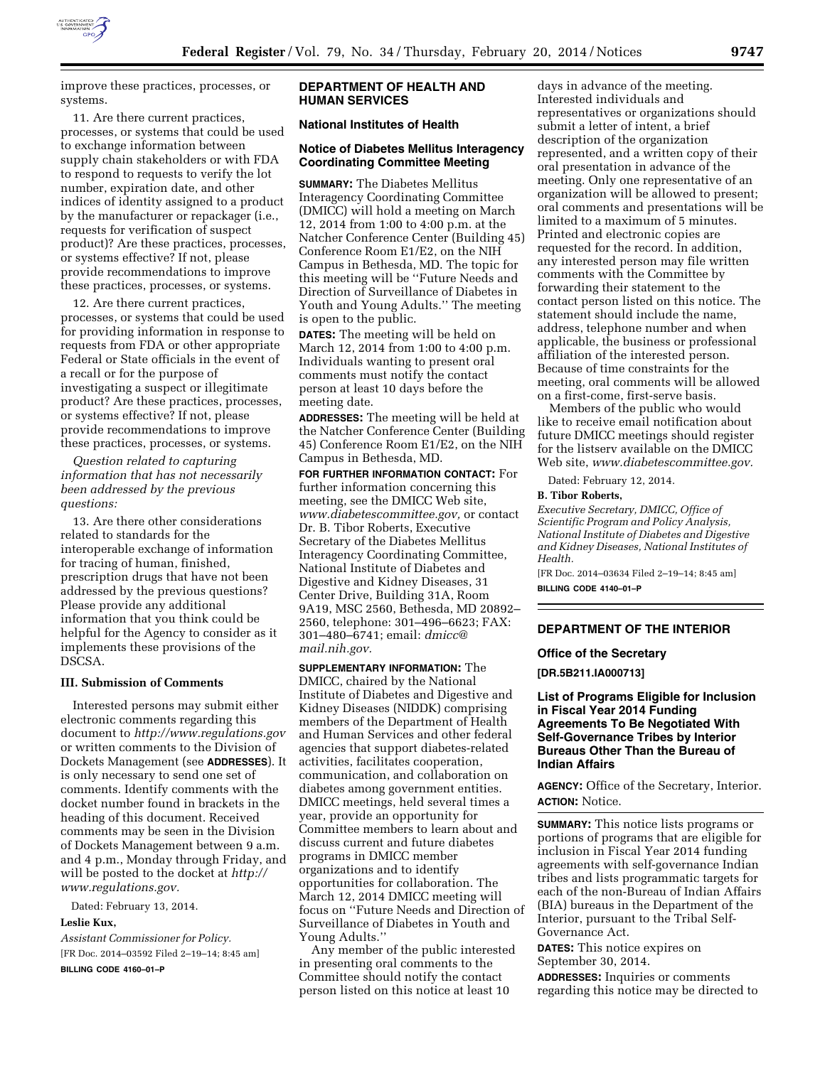

improve these practices, processes, or systems.

11. Are there current practices, processes, or systems that could be used to exchange information between supply chain stakeholders or with FDA to respond to requests to verify the lot number, expiration date, and other indices of identity assigned to a product by the manufacturer or repackager (i.e., requests for verification of suspect product)? Are these practices, processes, or systems effective? If not, please provide recommendations to improve these practices, processes, or systems.

12. Are there current practices, processes, or systems that could be used for providing information in response to requests from FDA or other appropriate Federal or State officials in the event of a recall or for the purpose of investigating a suspect or illegitimate product? Are these practices, processes, or systems effective? If not, please provide recommendations to improve these practices, processes, or systems.

*Question related to capturing information that has not necessarily been addressed by the previous questions:* 

13. Are there other considerations related to standards for the interoperable exchange of information for tracing of human, finished, prescription drugs that have not been addressed by the previous questions? Please provide any additional information that you think could be helpful for the Agency to consider as it implements these provisions of the DSCSA.

## **III. Submission of Comments**

Interested persons may submit either electronic comments regarding this document to *<http://www.regulations.gov>* or written comments to the Division of Dockets Management (see **ADDRESSES**). It is only necessary to send one set of comments. Identify comments with the docket number found in brackets in the heading of this document. Received comments may be seen in the Division of Dockets Management between 9 a.m. and 4 p.m., Monday through Friday, and will be posted to the docket at *[http://](http://www.regulations.gov) [www.regulations.gov.](http://www.regulations.gov)* 

Dated: February 13, 2014.

# **Leslie Kux,**

*Assistant Commissioner for Policy.*  [FR Doc. 2014–03592 Filed 2–19–14; 8:45 am] **BILLING CODE 4160–01–P** 

## **DEPARTMENT OF HEALTH AND HUMAN SERVICES**

## **National Institutes of Health**

#### **Notice of Diabetes Mellitus Interagency Coordinating Committee Meeting**

**SUMMARY:** The Diabetes Mellitus Interagency Coordinating Committee (DMICC) will hold a meeting on March 12, 2014 from 1:00 to 4:00 p.m. at the Natcher Conference Center (Building 45) Conference Room E1/E2, on the NIH Campus in Bethesda, MD. The topic for this meeting will be ''Future Needs and Direction of Surveillance of Diabetes in Youth and Young Adults.'' The meeting is open to the public.

**DATES:** The meeting will be held on March 12, 2014 from 1:00 to 4:00 p.m. Individuals wanting to present oral comments must notify the contact person at least 10 days before the meeting date.

**ADDRESSES:** The meeting will be held at the Natcher Conference Center (Building 45) Conference Room E1/E2, on the NIH Campus in Bethesda, MD.

**FOR FURTHER INFORMATION CONTACT:** For further information concerning this meeting, see the DMICC Web site, *[www.diabetescommittee.gov,](http://www.diabetescommittee.gov)* or contact Dr. B. Tibor Roberts, Executive Secretary of the Diabetes Mellitus Interagency Coordinating Committee, National Institute of Diabetes and Digestive and Kidney Diseases, 31 Center Drive, Building 31A, Room 9A19, MSC 2560, Bethesda, MD 20892– 2560, telephone: 301–496–6623; FAX: 301–480–6741; email: *[dmicc@](mailto:dmicc@mail.nih.gov) [mail.nih.gov.](mailto:dmicc@mail.nih.gov)* 

**SUPPLEMENTARY INFORMATION:** The DMICC, chaired by the National Institute of Diabetes and Digestive and Kidney Diseases (NIDDK) comprising members of the Department of Health and Human Services and other federal agencies that support diabetes-related activities, facilitates cooperation, communication, and collaboration on diabetes among government entities. DMICC meetings, held several times a year, provide an opportunity for Committee members to learn about and discuss current and future diabetes programs in DMICC member organizations and to identify opportunities for collaboration. The March 12, 2014 DMICC meeting will focus on ''Future Needs and Direction of Surveillance of Diabetes in Youth and Young Adults.''

Any member of the public interested in presenting oral comments to the Committee should notify the contact person listed on this notice at least 10

days in advance of the meeting. Interested individuals and representatives or organizations should submit a letter of intent, a brief description of the organization represented, and a written copy of their oral presentation in advance of the meeting. Only one representative of an organization will be allowed to present; oral comments and presentations will be limited to a maximum of 5 minutes. Printed and electronic copies are requested for the record. In addition, any interested person may file written comments with the Committee by forwarding their statement to the contact person listed on this notice. The statement should include the name, address, telephone number and when applicable, the business or professional affiliation of the interested person. Because of time constraints for the meeting, oral comments will be allowed on a first-come, first-serve basis.

Members of the public who would like to receive email notification about future DMICC meetings should register for the listserv available on the DMICC Web site, *[www.diabetescommittee.gov.](http://www.diabetescommittee.gov)* 

Dated: February 12, 2014.

## **B. Tibor Roberts,**

*Executive Secretary, DMICC, Office of Scientific Program and Policy Analysis, National Institute of Diabetes and Digestive and Kidney Diseases, National Institutes of Health.* 

[FR Doc. 2014–03634 Filed 2–19–14; 8:45 am] **BILLING CODE 4140–01–P** 

## **DEPARTMENT OF THE INTERIOR**

#### **Office of the Secretary**

**[DR.5B211.IA000713]** 

**List of Programs Eligible for Inclusion in Fiscal Year 2014 Funding Agreements To Be Negotiated With Self-Governance Tribes by Interior Bureaus Other Than the Bureau of Indian Affairs** 

**AGENCY:** Office of the Secretary, Interior. **ACTION:** Notice.

**SUMMARY:** This notice lists programs or portions of programs that are eligible for inclusion in Fiscal Year 2014 funding agreements with self-governance Indian tribes and lists programmatic targets for each of the non-Bureau of Indian Affairs (BIA) bureaus in the Department of the Interior, pursuant to the Tribal Self-Governance Act.

**DATES:** This notice expires on September 30, 2014.

**ADDRESSES:** Inquiries or comments regarding this notice may be directed to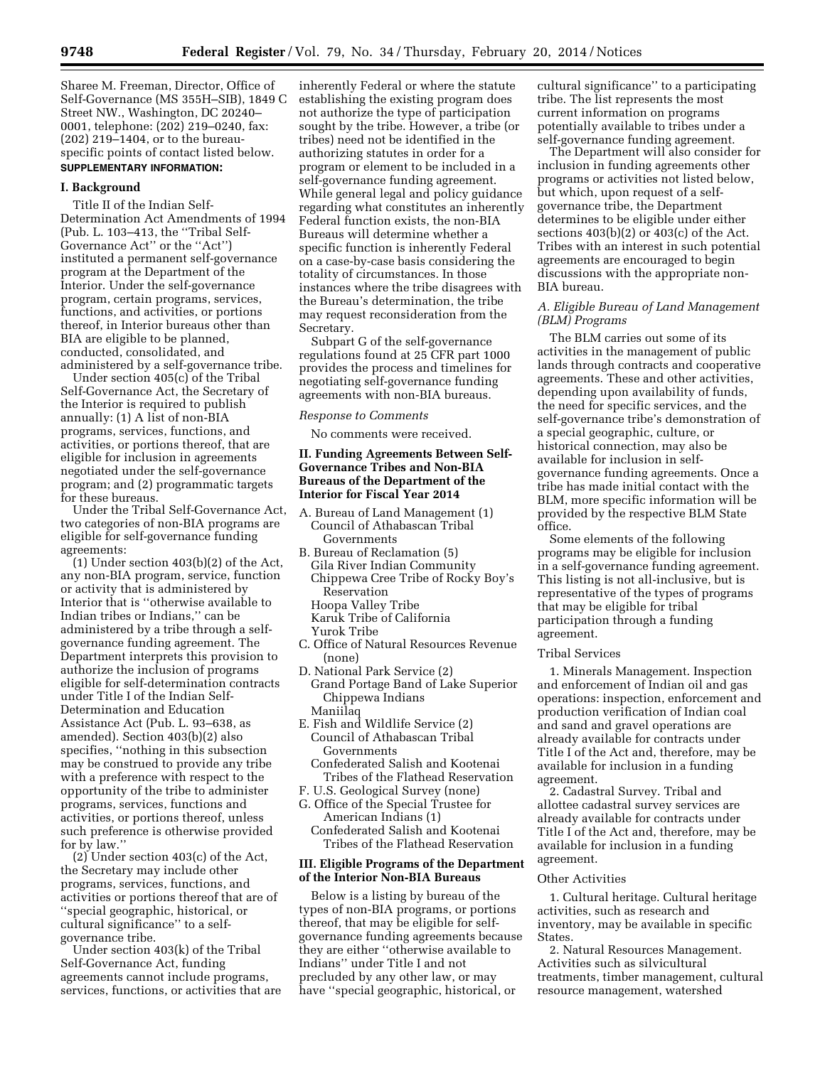Sharee M. Freeman, Director, Office of Self-Governance (MS 355H–SIB), 1849 C Street NW., Washington, DC 20240– 0001, telephone: (202) 219–0240, fax: (202) 219–1404, or to the bureauspecific points of contact listed below. **SUPPLEMENTARY INFORMATION:** 

#### **I. Background**

Title II of the Indian Self-Determination Act Amendments of 1994 (Pub. L. 103–413, the ''Tribal Self-Governance Act'' or the ''Act'') instituted a permanent self-governance program at the Department of the Interior. Under the self-governance program, certain programs, services, functions, and activities, or portions thereof, in Interior bureaus other than BIA are eligible to be planned, conducted, consolidated, and administered by a self-governance tribe.

Under section 405(c) of the Tribal Self-Governance Act, the Secretary of the Interior is required to publish annually: (1) A list of non-BIA programs, services, functions, and activities, or portions thereof, that are eligible for inclusion in agreements negotiated under the self-governance program; and (2) programmatic targets for these bureaus.

Under the Tribal Self-Governance Act, two categories of non-BIA programs are eligible for self-governance funding agreements:

 $(1)$  Under section 403(b)(2) of the Act, any non-BIA program, service, function or activity that is administered by Interior that is ''otherwise available to Indian tribes or Indians,'' can be administered by a tribe through a selfgovernance funding agreement. The Department interprets this provision to authorize the inclusion of programs eligible for self-determination contracts under Title I of the Indian Self-Determination and Education Assistance Act (Pub. L. 93–638, as amended). Section 403(b)(2) also specifies, ''nothing in this subsection may be construed to provide any tribe with a preference with respect to the opportunity of the tribe to administer programs, services, functions and activities, or portions thereof, unless such preference is otherwise provided for by law.''

 $(2)$  Under section 403(c) of the Act, the Secretary may include other programs, services, functions, and activities or portions thereof that are of ''special geographic, historical, or cultural significance'' to a selfgovernance tribe.

Under section 403(k) of the Tribal Self-Governance Act, funding agreements cannot include programs, services, functions, or activities that are

inherently Federal or where the statute establishing the existing program does not authorize the type of participation sought by the tribe. However, a tribe (or tribes) need not be identified in the authorizing statutes in order for a program or element to be included in a self-governance funding agreement. While general legal and policy guidance regarding what constitutes an inherently Federal function exists, the non-BIA Bureaus will determine whether a specific function is inherently Federal on a case-by-case basis considering the totality of circumstances. In those instances where the tribe disagrees with the Bureau's determination, the tribe may request reconsideration from the Secretary.

Subpart G of the self-governance regulations found at 25 CFR part 1000 provides the process and timelines for negotiating self-governance funding agreements with non-BIA bureaus.

#### *Response to Comments*

No comments were received.

### **II. Funding Agreements Between Self-Governance Tribes and Non-BIA Bureaus of the Department of the Interior for Fiscal Year 2014**

- A. Bureau of Land Management (1) Council of Athabascan Tribal Governments
- B. Bureau of Reclamation (5) Gila River Indian Community
- Chippewa Cree Tribe of Rocky Boy's Reservation Hoopa Valley Tribe
- Karuk Tribe of California
- Yurok Tribe
- C. Office of Natural Resources Revenue (none)
- D. National Park Service (2) Grand Portage Band of Lake Superior Chippewa Indians Maniilaq
- E. Fish and Wildlife Service (2) Council of Athabascan Tribal Governments
- Confederated Salish and Kootenai Tribes of the Flathead Reservation
- F. U.S. Geological Survey (none)
- G. Office of the Special Trustee for American Indians (1)
- Confederated Salish and Kootenai Tribes of the Flathead Reservation

## **III. Eligible Programs of the Department of the Interior Non-BIA Bureaus**

Below is a listing by bureau of the types of non-BIA programs, or portions thereof, that may be eligible for selfgovernance funding agreements because they are either ''otherwise available to Indians'' under Title I and not precluded by any other law, or may have ''special geographic, historical, or

cultural significance'' to a participating tribe. The list represents the most current information on programs potentially available to tribes under a self-governance funding agreement.

The Department will also consider for inclusion in funding agreements other programs or activities not listed below, but which, upon request of a selfgovernance tribe, the Department determines to be eligible under either sections  $403(b)(2)$  or  $403(c)$  of the Act. Tribes with an interest in such potential agreements are encouraged to begin discussions with the appropriate non-BIA bureau.

## *A. Eligible Bureau of Land Management (BLM) Programs*

The BLM carries out some of its activities in the management of public lands through contracts and cooperative agreements. These and other activities, depending upon availability of funds, the need for specific services, and the self-governance tribe's demonstration of a special geographic, culture, or historical connection, may also be available for inclusion in selfgovernance funding agreements. Once a tribe has made initial contact with the BLM, more specific information will be provided by the respective BLM State office.

Some elements of the following programs may be eligible for inclusion in a self-governance funding agreement. This listing is not all-inclusive, but is representative of the types of programs that may be eligible for tribal participation through a funding agreement.

#### Tribal Services

1. Minerals Management. Inspection and enforcement of Indian oil and gas operations: inspection, enforcement and production verification of Indian coal and sand and gravel operations are already available for contracts under Title I of the Act and, therefore, may be available for inclusion in a funding agreement.

2. Cadastral Survey. Tribal and allottee cadastral survey services are already available for contracts under Title I of the Act and, therefore, may be available for inclusion in a funding agreement.

#### Other Activities

1. Cultural heritage. Cultural heritage activities, such as research and inventory, may be available in specific States.

2. Natural Resources Management. Activities such as silvicultural treatments, timber management, cultural resource management, watershed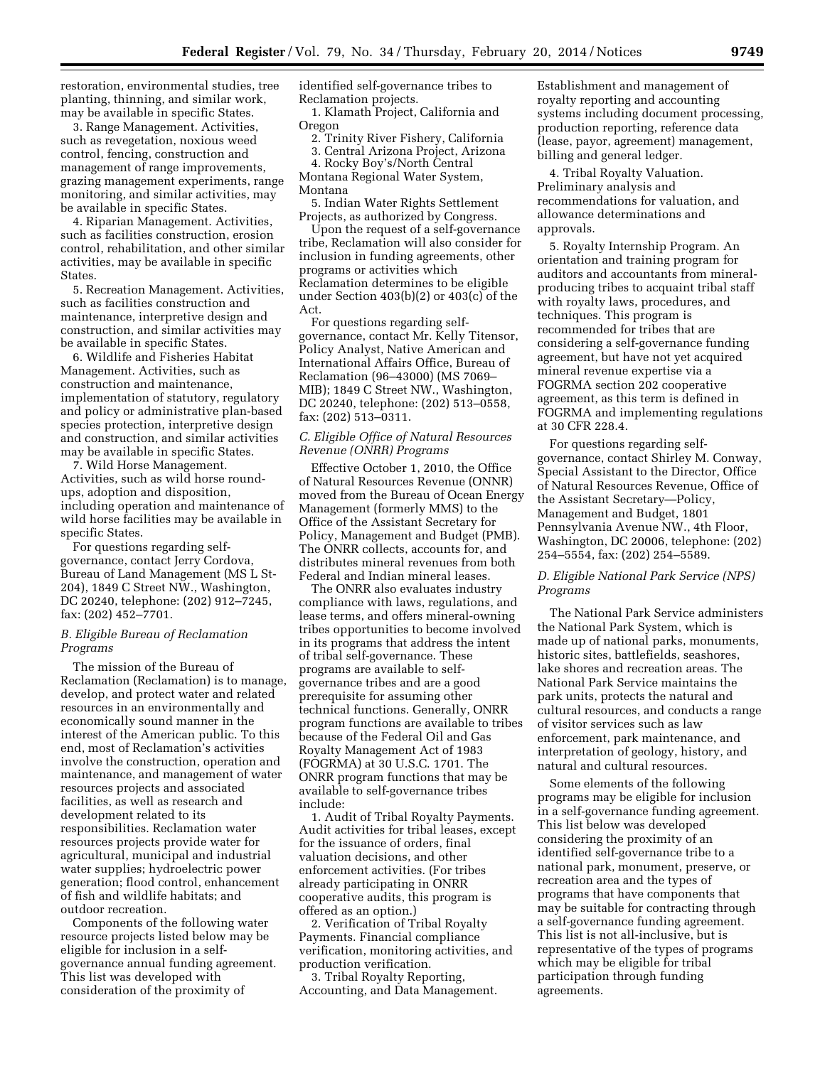restoration, environmental studies, tree planting, thinning, and similar work, may be available in specific States.

3. Range Management. Activities, such as revegetation, noxious weed control, fencing, construction and management of range improvements, grazing management experiments, range monitoring, and similar activities, may be available in specific States.

4. Riparian Management. Activities, such as facilities construction, erosion control, rehabilitation, and other similar activities, may be available in specific States.

5. Recreation Management. Activities, such as facilities construction and maintenance, interpretive design and construction, and similar activities may be available in specific States.

6. Wildlife and Fisheries Habitat Management. Activities, such as construction and maintenance, implementation of statutory, regulatory and policy or administrative plan-based species protection, interpretive design and construction, and similar activities may be available in specific States.

7. Wild Horse Management. Activities, such as wild horse roundups, adoption and disposition, including operation and maintenance of wild horse facilities may be available in specific States.

For questions regarding selfgovernance, contact Jerry Cordova, Bureau of Land Management (MS L St-204), 1849 C Street NW., Washington, DC 20240, telephone: (202) 912–7245, fax: (202) 452–7701.

### *B. Eligible Bureau of Reclamation Programs*

The mission of the Bureau of Reclamation (Reclamation) is to manage, develop, and protect water and related resources in an environmentally and economically sound manner in the interest of the American public. To this end, most of Reclamation's activities involve the construction, operation and maintenance, and management of water resources projects and associated facilities, as well as research and development related to its responsibilities. Reclamation water resources projects provide water for agricultural, municipal and industrial water supplies; hydroelectric power generation; flood control, enhancement of fish and wildlife habitats; and outdoor recreation.

Components of the following water resource projects listed below may be eligible for inclusion in a selfgovernance annual funding agreement. This list was developed with consideration of the proximity of

identified self-governance tribes to Reclamation projects.

1. Klamath Project, California and Oregon

2. Trinity River Fishery, California

3. Central Arizona Project, Arizona 4. Rocky Boy's/North Central Montana Regional Water System,

Montana

5. Indian Water Rights Settlement Projects, as authorized by Congress.

Upon the request of a self-governance tribe, Reclamation will also consider for inclusion in funding agreements, other programs or activities which Reclamation determines to be eligible under Section 403(b)(2) or 403(c) of the Act.

For questions regarding selfgovernance, contact Mr. Kelly Titensor, Policy Analyst, Native American and International Affairs Office, Bureau of Reclamation (96–43000) (MS 7069– MIB); 1849 C Street NW., Washington, DC 20240, telephone: (202) 513–0558, fax: (202) 513–0311.

## *C. Eligible Office of Natural Resources Revenue (ONRR) Programs*

Effective October 1, 2010, the Office of Natural Resources Revenue (ONNR) moved from the Bureau of Ocean Energy Management (formerly MMS) to the Office of the Assistant Secretary for Policy, Management and Budget (PMB). The ONRR collects, accounts for, and distributes mineral revenues from both Federal and Indian mineral leases.

The ONRR also evaluates industry compliance with laws, regulations, and lease terms, and offers mineral-owning tribes opportunities to become involved in its programs that address the intent of tribal self-governance. These programs are available to selfgovernance tribes and are a good prerequisite for assuming other technical functions. Generally, ONRR program functions are available to tribes because of the Federal Oil and Gas Royalty Management Act of 1983 (FOGRMA) at 30 U.S.C. 1701. The ONRR program functions that may be available to self-governance tribes include:

1. Audit of Tribal Royalty Payments. Audit activities for tribal leases, except for the issuance of orders, final valuation decisions, and other enforcement activities. (For tribes already participating in ONRR cooperative audits, this program is offered as an option.)

2. Verification of Tribal Royalty Payments. Financial compliance verification, monitoring activities, and production verification.

3. Tribal Royalty Reporting, Accounting, and Data Management. Establishment and management of royalty reporting and accounting systems including document processing, production reporting, reference data (lease, payor, agreement) management, billing and general ledger.

4. Tribal Royalty Valuation. Preliminary analysis and recommendations for valuation, and allowance determinations and approvals.

5. Royalty Internship Program. An orientation and training program for auditors and accountants from mineralproducing tribes to acquaint tribal staff with royalty laws, procedures, and techniques. This program is recommended for tribes that are considering a self-governance funding agreement, but have not yet acquired mineral revenue expertise via a FOGRMA section 202 cooperative agreement, as this term is defined in FOGRMA and implementing regulations at 30 CFR 228.4.

For questions regarding selfgovernance, contact Shirley M. Conway, Special Assistant to the Director, Office of Natural Resources Revenue, Office of the Assistant Secretary—Policy, Management and Budget, 1801 Pennsylvania Avenue NW., 4th Floor, Washington, DC 20006, telephone: (202) 254–5554, fax: (202) 254–5589.

## *D. Eligible National Park Service (NPS) Programs*

The National Park Service administers the National Park System, which is made up of national parks, monuments, historic sites, battlefields, seashores, lake shores and recreation areas. The National Park Service maintains the park units, protects the natural and cultural resources, and conducts a range of visitor services such as law enforcement, park maintenance, and interpretation of geology, history, and natural and cultural resources.

Some elements of the following programs may be eligible for inclusion in a self-governance funding agreement. This list below was developed considering the proximity of an identified self-governance tribe to a national park, monument, preserve, or recreation area and the types of programs that have components that may be suitable for contracting through a self-governance funding agreement. This list is not all-inclusive, but is representative of the types of programs which may be eligible for tribal participation through funding agreements.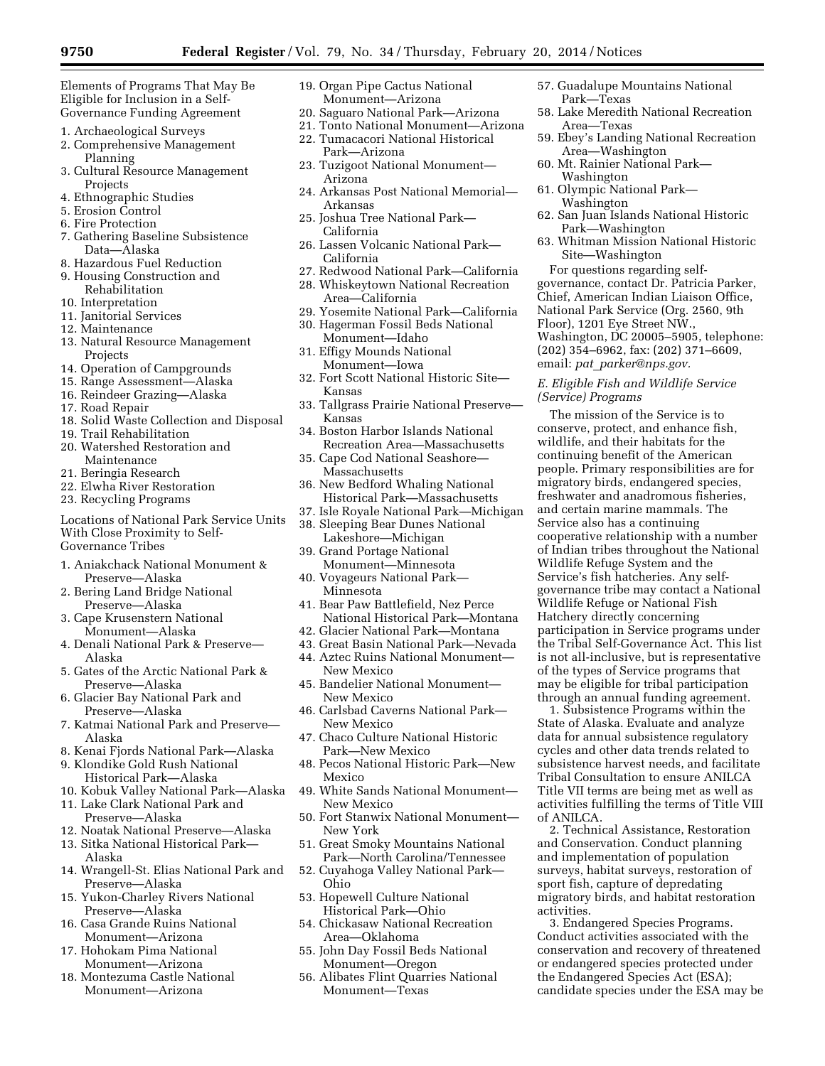Elements of Programs That May Be Eligible for Inclusion in a Self-Governance Funding Agreement

- 1. Archaeological Surveys
- 2. Comprehensive Management
- Planning 3. Cultural Resource Management Projects
- 4. Ethnographic Studies
- 5. Erosion Control
- 6. Fire Protection
- 7. Gathering Baseline Subsistence Data—Alaska
- 8. Hazardous Fuel Reduction
- 9. Housing Construction and
- Rehabilitation
- 10. Interpretation
- 11. Janitorial Services
- 12. Maintenance
- 13. Natural Resource Management Projects
- 14. Operation of Campgrounds
- 15. Range Assessment—Alaska
- 16. Reindeer Grazing—Alaska
- 17. Road Repair
- 18. Solid Waste Collection and Disposal
- 19. Trail Rehabilitation
- 20. Watershed Restoration and Maintenance
- 21. Beringia Research
- 22. Elwha River Restoration
- 23. Recycling Programs

Locations of National Park Service Units With Close Proximity to Self-Governance Tribes

- 1. Aniakchack National Monument & Preserve—Alaska
- 2. Bering Land Bridge National Preserve—Alaska
- 3. Cape Krusenstern National Monument—Alaska
- 4. Denali National Park & Preserve— Alaska
- 5. Gates of the Arctic National Park & Preserve—Alaska
- 6. Glacier Bay National Park and Preserve—Alaska
- 7. Katmai National Park and Preserve— Alaska
- 8. Kenai Fjords National Park—Alaska
- 9. Klondike Gold Rush National Historical Park—Alaska
- 10. Kobuk Valley National Park—Alaska
- 11. Lake Clark National Park and Preserve—Alaska
- 12. Noatak National Preserve—Alaska
- 13. Sitka National Historical Park— Alaska
- 14. Wrangell-St. Elias National Park and Preserve—Alaska
- 15. Yukon-Charley Rivers National Preserve—Alaska
- 16. Casa Grande Ruins National Monument—Arizona
- 17. Hohokam Pima National Monument—Arizona
- 18. Montezuma Castle National Monument—Arizona
- 19. Organ Pipe Cactus National Monument—Arizona
- 20. Saguaro National Park—Arizona
- 21. Tonto National Monument—Arizona
- 22. Tumacacori National Historical Park—Arizona
- 23. Tuzigoot National Monument— Arizona
- 24. Arkansas Post National Memorial— Arkansas
- 25. Joshua Tree National Park— California
- 26. Lassen Volcanic National Park— California
- 27. Redwood National Park—California
- 28. Whiskeytown National Recreation Area—California
- 29. Yosemite National Park—California
- 30. Hagerman Fossil Beds National Monument—Idaho
- 31. Effigy Mounds National Monument—Iowa
- 32. Fort Scott National Historic Site— Kansas
- 33. Tallgrass Prairie National Preserve— Kansas
- 34. Boston Harbor Islands National
- Recreation Area—Massachusetts 35. Cape Cod National Seashore— Massachusetts
- 36. New Bedford Whaling National Historical Park—Massachusetts
- 37. Isle Royale National Park—Michigan
- 38. Sleeping Bear Dunes National
- Lakeshore—Michigan 39. Grand Portage National
- Monument—Minnesota 40. Voyageurs National Park—
- Minnesota
- 41. Bear Paw Battlefield, Nez Perce National Historical Park—Montana
- 42. Glacier National Park—Montana
- 43. Great Basin National Park—Nevada
- 44. Aztec Ruins National Monument— New Mexico
- 45. Bandelier National Monument— New Mexico
- 46. Carlsbad Caverns National Park— New Mexico
- 47. Chaco Culture National Historic Park—New Mexico
- 48. Pecos National Historic Park—New Mexico
- 49. White Sands National Monument— New Mexico
- 50. Fort Stanwix National Monument— New York
- 51. Great Smoky Mountains National Park—North Carolina/Tennessee
- 52. Cuyahoga Valley National Park— Ohio
- 53. Hopewell Culture National Historical Park—Ohio
- 54. Chickasaw National Recreation Area—Oklahoma
- 55. John Day Fossil Beds National Monument—Oregon
- 56. Alibates Flint Quarries National Monument—Texas
- 57. Guadalupe Mountains National Park—Texas
- 58. Lake Meredith National Recreation Area—Texas
- 59. Ebey's Landing National Recreation Area—Washington
- 60. Mt. Rainier National Park— Washington
- 61. Olympic National Park— Washington
- 62. San Juan Islands National Historic Park—Washington
- 63. Whitman Mission National Historic Site—Washington

For questions regarding selfgovernance, contact Dr. Patricia Parker, Chief, American Indian Liaison Office, National Park Service (Org. 2560, 9th Floor), 1201 Eye Street NW., Washington, DC 20005–5905, telephone: (202) 354–6962, fax: (202) 371–6609, email: *pat*\_*[parker@nps.gov.](mailto:pat_parker@nps.gov)* 

## *E. Eligible Fish and Wildlife Service (Service) Programs*

The mission of the Service is to conserve, protect, and enhance fish, wildlife, and their habitats for the continuing benefit of the American people. Primary responsibilities are for migratory birds, endangered species, freshwater and anadromous fisheries, and certain marine mammals. The Service also has a continuing cooperative relationship with a number of Indian tribes throughout the National Wildlife Refuge System and the Service's fish hatcheries. Any selfgovernance tribe may contact a National Wildlife Refuge or National Fish Hatchery directly concerning participation in Service programs under the Tribal Self-Governance Act. This list is not all-inclusive, but is representative of the types of Service programs that may be eligible for tribal participation through an annual funding agreement.

1. Subsistence Programs within the State of Alaska. Evaluate and analyze data for annual subsistence regulatory cycles and other data trends related to subsistence harvest needs, and facilitate Tribal Consultation to ensure ANILCA Title VII terms are being met as well as activities fulfilling the terms of Title VIII of ANILCA.

2. Technical Assistance, Restoration and Conservation. Conduct planning and implementation of population surveys, habitat surveys, restoration of sport fish, capture of depredating migratory birds, and habitat restoration activities.

3. Endangered Species Programs. Conduct activities associated with the conservation and recovery of threatened or endangered species protected under the Endangered Species Act (ESA); candidate species under the ESA may be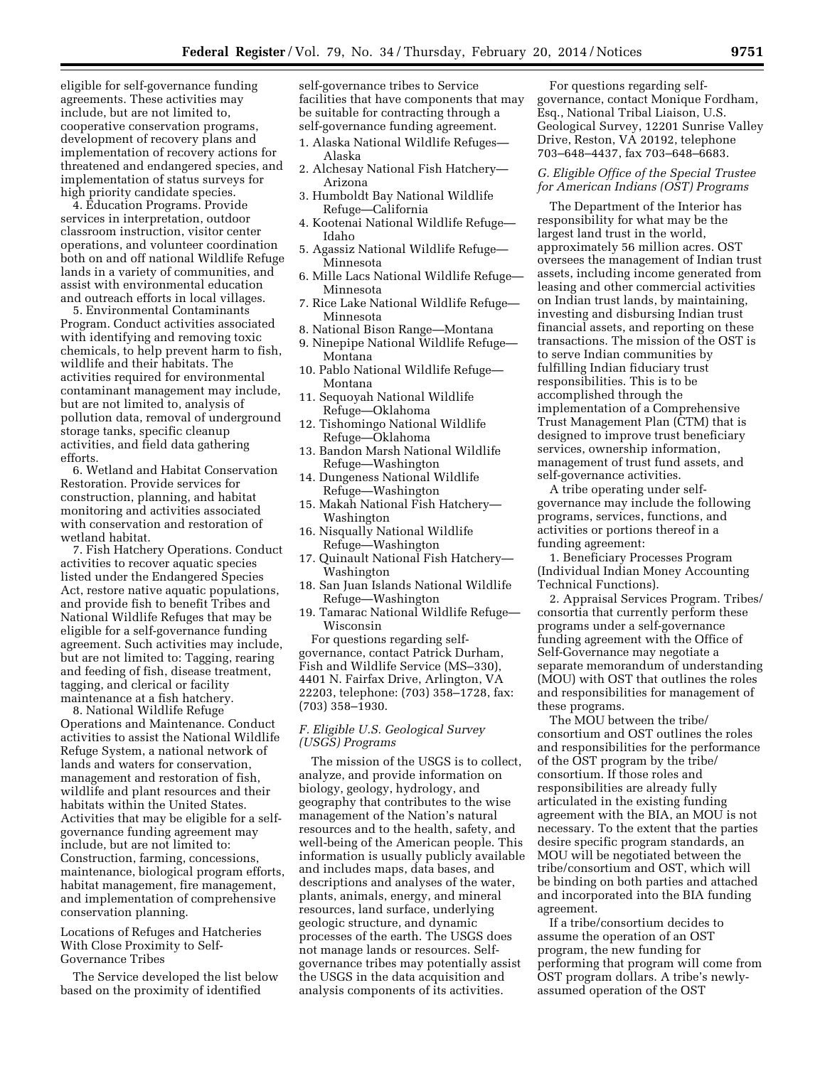eligible for self-governance funding agreements. These activities may include, but are not limited to, cooperative conservation programs, development of recovery plans and implementation of recovery actions for threatened and endangered species, and implementation of status surveys for high priority candidate species.

4. Education Programs. Provide services in interpretation, outdoor classroom instruction, visitor center operations, and volunteer coordination both on and off national Wildlife Refuge lands in a variety of communities, and assist with environmental education and outreach efforts in local villages.

5. Environmental Contaminants Program. Conduct activities associated with identifying and removing toxic chemicals, to help prevent harm to fish, wildlife and their habitats. The activities required for environmental contaminant management may include, but are not limited to, analysis of pollution data, removal of underground storage tanks, specific cleanup activities, and field data gathering efforts.

6. Wetland and Habitat Conservation Restoration. Provide services for construction, planning, and habitat monitoring and activities associated with conservation and restoration of wetland habitat.

7. Fish Hatchery Operations. Conduct activities to recover aquatic species listed under the Endangered Species Act, restore native aquatic populations, and provide fish to benefit Tribes and National Wildlife Refuges that may be eligible for a self-governance funding agreement. Such activities may include, but are not limited to: Tagging, rearing and feeding of fish, disease treatment, tagging, and clerical or facility maintenance at a fish hatchery.

8. National Wildlife Refuge Operations and Maintenance. Conduct activities to assist the National Wildlife Refuge System, a national network of lands and waters for conservation, management and restoration of fish, wildlife and plant resources and their habitats within the United States. Activities that may be eligible for a selfgovernance funding agreement may include, but are not limited to: Construction, farming, concessions, maintenance, biological program efforts, habitat management, fire management, and implementation of comprehensive conservation planning.

Locations of Refuges and Hatcheries With Close Proximity to Self-Governance Tribes

The Service developed the list below based on the proximity of identified

self-governance tribes to Service facilities that have components that may be suitable for contracting through a self-governance funding agreement.

- 1. Alaska National Wildlife Refuges— Alaska
- 2. Alchesay National Fish Hatchery— Arizona
- 3. Humboldt Bay National Wildlife Refuge—California
- 4. Kootenai National Wildlife Refuge— Idaho
- 5. Agassiz National Wildlife Refuge— Minnesota
- 6. Mille Lacs National Wildlife Refuge— Minnesota
- 7. Rice Lake National Wildlife Refuge— Minnesota
- 8. National Bison Range—Montana
- 9. Ninepipe National Wildlife Refuge— Montana
- 10. Pablo National Wildlife Refuge— Montana
- 11. Sequoyah National Wildlife Refuge—Oklahoma
- 12. Tishomingo National Wildlife Refuge—Oklahoma
- 13. Bandon Marsh National Wildlife Refuge—Washington
- 14. Dungeness National Wildlife Refuge—Washington
- 15. Makah National Fish Hatchery— Washington
- 16. Nisqually National Wildlife Refuge—Washington
- 17. Quinault National Fish Hatchery— Washington
- 18. San Juan Islands National Wildlife Refuge—Washington
- 19. Tamarac National Wildlife Refuge— Wisconsin

For questions regarding selfgovernance, contact Patrick Durham, Fish and Wildlife Service (MS–330), 4401 N. Fairfax Drive, Arlington, VA 22203, telephone: (703) 358–1728, fax: (703) 358–1930.

## *F. Eligible U.S. Geological Survey (USGS) Programs*

The mission of the USGS is to collect, analyze, and provide information on biology, geology, hydrology, and geography that contributes to the wise management of the Nation's natural resources and to the health, safety, and well-being of the American people. This information is usually publicly available and includes maps, data bases, and descriptions and analyses of the water, plants, animals, energy, and mineral resources, land surface, underlying geologic structure, and dynamic processes of the earth. The USGS does not manage lands or resources. Selfgovernance tribes may potentially assist the USGS in the data acquisition and analysis components of its activities.

For questions regarding selfgovernance, contact Monique Fordham, Esq., National Tribal Liaison, U.S. Geological Survey, 12201 Sunrise Valley Drive, Reston, VA 20192, telephone 703–648–4437, fax 703–648–6683.

## *G. Eligible Office of the Special Trustee for American Indians (OST) Programs*

The Department of the Interior has responsibility for what may be the largest land trust in the world, approximately 56 million acres. OST oversees the management of Indian trust assets, including income generated from leasing and other commercial activities on Indian trust lands, by maintaining, investing and disbursing Indian trust financial assets, and reporting on these transactions. The mission of the OST is to serve Indian communities by fulfilling Indian fiduciary trust responsibilities. This is to be accomplished through the implementation of a Comprehensive Trust Management Plan (CTM) that is designed to improve trust beneficiary services, ownership information, management of trust fund assets, and self-governance activities.

A tribe operating under selfgovernance may include the following programs, services, functions, and activities or portions thereof in a funding agreement:

1. Beneficiary Processes Program (Individual Indian Money Accounting Technical Functions).

2. Appraisal Services Program. Tribes/ consortia that currently perform these programs under a self-governance funding agreement with the Office of Self-Governance may negotiate a separate memorandum of understanding (MOU) with OST that outlines the roles and responsibilities for management of these programs.

The MOU between the tribe/ consortium and OST outlines the roles and responsibilities for the performance of the OST program by the tribe/ consortium. If those roles and responsibilities are already fully articulated in the existing funding agreement with the BIA, an MOU is not necessary. To the extent that the parties desire specific program standards, an MOU will be negotiated between the tribe/consortium and OST, which will be binding on both parties and attached and incorporated into the BIA funding agreement.

If a tribe/consortium decides to assume the operation of an OST program, the new funding for performing that program will come from OST program dollars. A tribe's newlyassumed operation of the OST